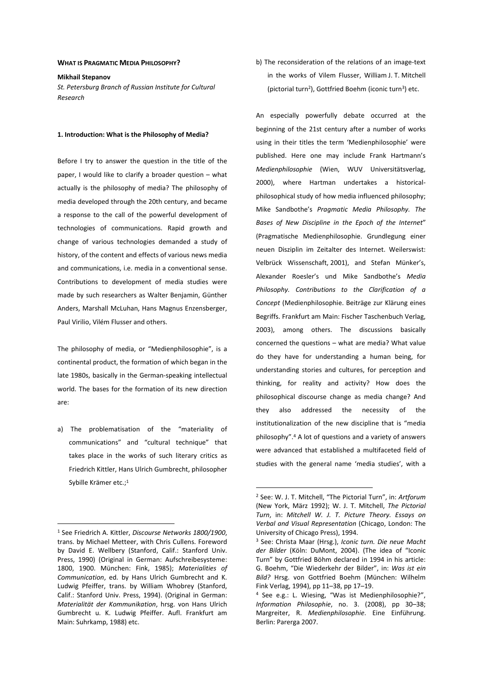### **WHAT IS PRAGMATIC MEDIA PHILOSOPHY?**

**Mikhail Stepanov** 

*St. Petersburg Branch of Russian Institute for Cultural Research* 

### **1. Introduction: What is the Philosophy of Media?**

Before I try to answer the question in the title of the paper, I would like to clarify a broader question – what actually is the philosophy of media? The philosophy of media developed through the 20th century, and became a response to the call of the powerful development of technologies of communications. Rapid growth and change of various technologies demanded a study of history, of the content and effects of various news media and communications, i.e. media in a conventional sense. Contributions to development of media studies were made by such researchers as Walter Benjamin, Günther Anders, Marshall McLuhan, Hans Magnus Enzensberger, Paul Virilio, Vilém Flusser and others.

The philosophy of media, or "Medienphilosophie", is a continental product, the formation of which began in the late 1980s, basically in the German-speaking intellectual world. The bases for the formation of its new direction are:

a) The problematisation of the "materiality of communications" and "cultural technique" that takes place in the works of such literary critics as Friedrich Kittler, Hans Ulrich Gumbrecht, philosopher Sybille Krämer etc.;<sup>1</sup>

 $\overline{a}$ 

b) The reconsideration of the relations of an image-text in the works of Vilem Flusser, William J. T. Mitchell (pictorial turn<sup>2</sup>), Gottfried Boehm (iconic turn<sup>3</sup>) etc.

An especially powerfully debate occurred at the beginning of the 21st century after a number of works using in their titles the term 'Medienphilosophie' were published. Here one may include Frank Hartmann's *Medienphilosophie* (Wien, WUV Universitätsverlag, 2000), where Hartman undertakes a historicalphilosophical study of how media influenced philosophy; Mike Sandbothe's *Pragmatic Media Philosophy. The Bases of New Discipline in the Epoch of the Internet*" (Pragmatische Medienphilosophie. Grundlegung einer neuen Disziplin im Zeitalter des Internet. Weilerswist: Velbrück Wissenschaft, 2001), and Stefan Münker's, Alexander Roesler's und Mike Sandbothe's *Media Philosophy. Contributions to the Clarification of a Concept* (Medienphilosophie. Beiträge zur Klärung eines Begriffs. Frankfurt am Main: Fischer Taschenbuch Verlag, 2003), among others. The discussions basically concerned the questions – what are media? What value do they have for understanding a human being, for understanding stories and cultures, for perception and thinking, for reality and activity? How does the philosophical discourse change as media change? And they also addressed the necessity of the institutionalization of the new discipline that is "media philosophy".<sup>4</sup> A lot of questions and a variety of answers were advanced that established a multifaceted field of studies with the general name 'media studies', with a

<sup>1</sup> See Friedrich A. Kittler, *Discourse Networks 1800/1900*, trans. by Michael Metteer, with Chris Cullens. Foreword by David E. Wellbery (Stanford, Calif.: Stanford Univ. Press, 1990) (Original in German: Aufschreibesysteme: 1800, 1900. München: Fink, 1985); *Materialities of Communication*, ed. by Hans Ulrich Gumbrecht and K. Ludwig Pfeiffer, trans. by William Whobrey (Stanford, Calif.: Stanford Univ. Press, 1994). (Original in German: *Materialität der Kommunikation*, hrsg. von Hans Ulrich Gumbrecht u. K. Ludwig Pfeiffer. Aufl. Frankfurt am Main: Suhrkamp, 1988) etc.

<sup>2</sup> See: W. J. T. Mitchell, "The Pictorial Turn", in: *Artforum* (New York, März 1992); W. J. T. Mitchell, *The Pictorial Turn*, in: *Mitchell W. J. T. Picture Theory. Essays on Verbal and Visual Representation* (Chicago, London: The University of Chicago Press), 1994.

<sup>3</sup> See: Christa Maar (Hrsg.), *Iconic turn. Die neue Macht der Bilder* (Köln: DuMont, 2004). (The idea of "Iconic Turn" by Gottfried Böhm declared in 1994 in his article: G. Boehm, "Die Wiederkehr der Bilder", in: *Was ist ein Bild?* Hrsg. von Gottfried Boehm (München: Wilhelm Fink Verlag, 1994), pp 11–38, pp 17–19.

<sup>4</sup> See e.g.: L. Wiesing, "Was ist Medienphilosophie?", *Information Philosophie*, no. 3. (2008), pp 30–38; Margreiter, R. *Medienphilosophie*. Eine Einführung. Berlin: Parerga 2007.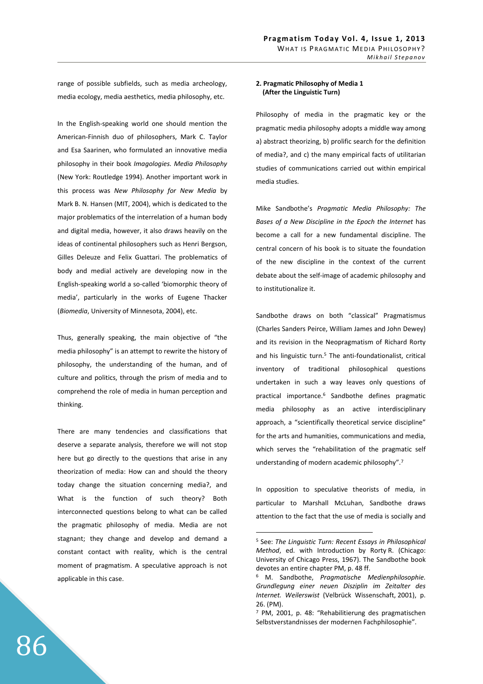range of possible subfields, such as media archeology, media ecology, media aesthetics, media philosophy, etc.

In the English-speaking world one should mention the American-Finnish duo of philosophers, Mark C. Taylor and Esa Saarinen, who formulated an innovative media philosophy in their book *Imagologies. Media Philosophy* (New York: Routledge 1994). Another important work in this process was *New Philosophy for New Media* by Mark B. N. Hansen (MIT, 2004), which is dedicated to the major problematics of the interrelation of a human body and digital media, however, it also draws heavily on the ideas of continental philosophers such as Henri Bergson, Gilles Deleuze and Felix Guattari. The problematics of body and medial actively are developing now in the English-speaking world a so-called 'biomorphic theory of media', particularly in the works of Eugene Thacker (*Biomedia*, University of Minnesota, 2004), etc.

Thus, generally speaking, the main objective of "the media philosophy" is an attempt to rewrite the history of philosophy, the understanding of the human, and of culture and politics, through the prism of media and to comprehend the role of media in human perception and thinking.

There are many tendencies and classifications that deserve a separate analysis, therefore we will not stop here but go directly to the questions that arise in any theorization of media: How can and should the theory today change the situation concerning media?, and What is the function of such theory? Both interconnected questions belong to what can be called the pragmatic philosophy of media. Media are not stagnant; they change and develop and demand a constant contact with reality, which is the central moment of pragmatism. A speculative approach is not applicable in this case.

# **2. Pragmatic Philosophy of Media 1 (After the Linguistic Turn)**

Philosophy of media in the pragmatic key or the pragmatic media philosophy adopts a middle way among a) abstract theorizing, b) prolific search for the definition of media?, and c) the many empirical facts of utilitarian studies of communications carried out within empirical media studies.

Mike Sandbothe's *Pragmatic Media Philosophy: The Bases of a New Discipline in the Epoch the Internet* has become a call for a new fundamental discipline. The central concern of his book is to situate the foundation of the new discipline in the context of the current debate about the self-image of academic philosophy and to institutionalize it.

Sandbothe draws on both "classical" Pragmatismus (Charles Sanders Peirce, William James and John Dewey) and its revision in the Neopragmatism of Richard Rorty and his linguistic turn.<sup>5</sup> The anti-foundationalist, critical inventory of traditional philosophical questions undertaken in such a way leaves only questions of practical importance.<sup>6</sup> Sandbothe defines pragmatic media philosophy as an active interdisciplinary approach, a "scientifically theoretical service discipline" for the arts and humanities, communications and media, which serves the "rehabilitation of the pragmatic self understanding of modern academic philosophy".<sup>7</sup>

In opposition to speculative theorists of media, in particular to Marshall McLuhan, Sandbothe draws attention to the fact that the use of media is socially and

<sup>5</sup> See: *The Linguistic Turn: Recent Essays in Philosophical Method*, ed. with Introduction by Rorty R. (Chicago: University of Chicago Press, 1967). The Sandbothe book devotes an entire chapter PM, p. 48 ff.

<sup>6</sup> M. Sandbothe, *Pragmatische Medienphilosophie. Grundlegung einer neuen Disziplin im Zeitalter des Internet. Weilerswist* (Velbrück Wissenschaft, 2001), p. 26. (PM).

<sup>7</sup> PM, 2001, p. 48: "Rehabilitierung des pragmatischen Selbstverstandnisses der modernen Fachphilosophie".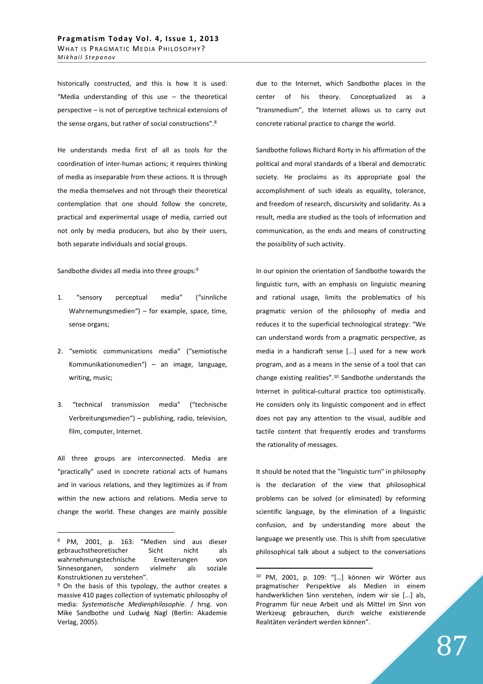historically constructed, and this is how it is used: "Media understanding of this use – the theoretical perspective – is not of perceptive technical extensions of the sense organs, but rather of social constructions".<sup>8</sup>

He understands media first of all as tools for the coordination of inter-human actions; it requires thinking of media as inseparable from these actions. It is through the media themselves and not through their theoretical contemplation that one should follow the concrete, practical and experimental usage of media, carried out not only by media producers, but also by their users, both separate individuals and social groups.

Sandbothe divides all media into three groups:<sup>9</sup>

- 1. "sensory perceptual media" ("sinnliche Wahrnemungsmedien") – for example, space, time, sense organs;
- 2. "semiotic communications media" ("semiotische Kommunikationsmedien") – an image, language, writing, music;
- 3. "technical transmission media" ("technische Verbreitungsmedien") – publishing, radio, television, film, computer, Internet.

All three groups are interconnected. Media are "practically" used in concrete rational acts of humans and in various relations, and they legitimizes as if from within the new actions and relations. Media serve to change the world. These changes are mainly possible

 $\overline{a}$ 

due to the Internet, which Sandbothe places in the center of his theory. Conceptualized as a "transmedium", the Internet allows us to carry out concrete rational practice to change the world.

Sandbothe follows Richard Rorty in his affirmation of the political and moral standards of a liberal and democratic society. He proclaims as its appropriate goal the accomplishment of such ideals as equality, tolerance, and freedom of research, discursivity and solidarity. As a result, media are studied as the tools of information and communication, as the ends and means of constructing the possibility of such activity.

In our opinion the orientation of Sandbothe towards the linguistic turn, with an emphasis on linguistic meaning and rational usage, limits the problematics of his pragmatic version of the philosophy of media and reduces it to the superficial technological strategy: "We can understand words from a pragmatic perspective, as media in a handicraft sense [...] used for a new work program, and as a means in the sense of a tool that can change existing realities".<sup>10</sup> Sandbothe understands the Internet in political-cultural practice too optimistically. He considers only its linguistic component and in effect does not pay any attention to the visual, audible and tactile content that frequently erodes and transforms the rationality of messages.

It should be noted that the "linguistic turn" in philosophy is the declaration of the view that philosophical problems can be solved (or eliminated) by reforming scientific language, by the elimination of a linguistic confusion, and by understanding more about the language we presently use. This is shift from speculative philosophical talk about a subject to the conversations

<sup>8</sup> PM, 2001, p. 163: "Medien sind aus dieser gebrauchstheoretischer Sicht nicht als wahrnehmungstechnische Erweiterungen von Sinnesorganen, sondern vielmehr als soziale Konstruktionen zu verstehen".

<sup>&</sup>lt;sup>9</sup> On the basis of this typology, the author creates a massive 410 pages collection of systematic philosophy of media: *Systematische Medienphilosophie*. / hrsg. von Mike Sandbothe und Ludwig Nagl (Berlin: Akademie Verlag, 2005).

<sup>10</sup> PM, 2001, p. 109: "[…] können wir Wörter aus pragmatischer Perspektive als Medien in einem handwerklichen Sinn verstehen, indem wir sie [...] als, Programm für neue Arbeit und als Mittel im Sinn von Werkzeug gebrauchen, durch welche existierende Realitäten verändert werden können".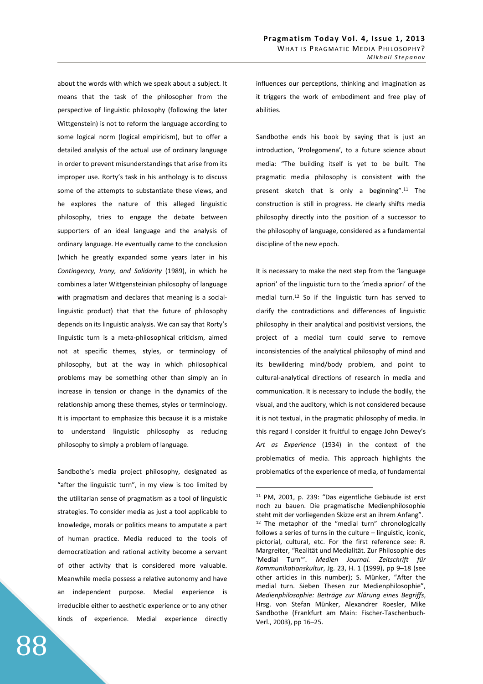about the words with which we speak about a subject. It means that the task of the philosopher from the perspective of linguistic philosophy (following the later Wittgenstein) is not to reform the language according to some logical norm (logical empiricism), but to offer a detailed analysis of the actual use of ordinary language in order to prevent misunderstandings that arise from its improper use. Rorty's task in his anthology is to discuss some of the attempts to substantiate these views, and he explores the nature of this alleged linguistic philosophy, tries to engage the debate between supporters of an ideal language and the analysis of ordinary language. He eventually came to the conclusion (which he greatly expanded some years later in his *Contingency, Irony, and Solidarity* (1989), in which he combines a later Wittgensteinian philosophy of language with pragmatism and declares that meaning is a sociallinguistic product) that that the future of philosophy depends on its linguistic analysis. We can say that Rorty's linguistic turn is a meta-philosophical criticism, aimed not at specific themes, styles, or terminology of philosophy, but at the way in which philosophical problems may be something other than simply an in increase in tension or change in the dynamics of the relationship among these themes, styles or terminology. It is important to emphasize this because it is a mistake to understand linguistic philosophy as reducing philosophy to simply a problem of language.

Sandbothe's media project philosophy, designated as "after the linguistic turn", in my view is too limited by the utilitarian sense of pragmatism as a tool of linguistic strategies. To consider media as just a tool applicable to knowledge, morals or politics means to amputate a part of human practice. Media reduced to the tools of democratization and rational activity become a servant of other activity that is considered more valuable. Meanwhile media possess a relative autonomy and have an independent purpose. Medial experience is irreducible either to aesthetic experience or to any other kinds of experience. Medial experience directly

influences our perceptions, thinking and imagination as it triggers the work of embodiment and free play of abilities.

Sandbothe ends his book by saying that is just an introduction, 'Prolegomena', to a future science about media: "The building itself is yet to be built. The pragmatic media philosophy is consistent with the present sketch that is only a beginning".<sup>11</sup> The construction is still in progress. He clearly shifts media philosophy directly into the position of a successor to the philosophy of language, considered as a fundamental discipline of the new epoch.

It is necessary to make the next step from the 'language apriori' of the linguistic turn to the 'media apriori' of the medial turn.<sup>12</sup> So if the linguistic turn has served to clarify the contradictions and differences of linguistic philosophy in their analytical and positivist versions, the project of a medial turn could serve to remove inconsistencies of the analytical philosophy of mind and its bewildering mind/body problem, and point to cultural-analytical directions of research in media and communication. It is necessary to include the bodily, the visual, and the auditory, which is not considered because it is not textual, in the pragmatic philosophy of media. In this regard I consider it fruitful to engage John Dewey's *Art as Experience* (1934) in the context of the problematics of media. This approach highlights the problematics of the experience of media, of fundamental

<sup>11</sup> PM, 2001, p. 239: "Das eigentliche Gebäude ist erst noch zu bauen. Die pragmatische Medienphilosophie steht mit der vorliegenden Skizze erst an ihrem Anfang". <sup>12</sup> The metaphor of the "medial turn" chronologically follows a series of turns in the culture – linguistic, iconic, pictorial, cultural, etc. For the first reference see: R. Margreiter, "Realität und Medialität. Zur Philosophie des 'Medial Turn'". *Medien Journal. Zeitschrift für Kommunikationskultur*, Jg. 23, H. 1 (1999), pp 9–18 (see other articles in this number); S. Münker, "After the medial turn. Sieben Thesen zur Medienphilosophie", *Medienphilosophie: Beiträge zur Klärung eines Begriffs*, Hrsg. von Stefan Münker, Alexandrer Roesler, Mike Sandbothe (Frankfurt am Main: Fischer-Taschenbuch-Verl., 2003), pp 16–25.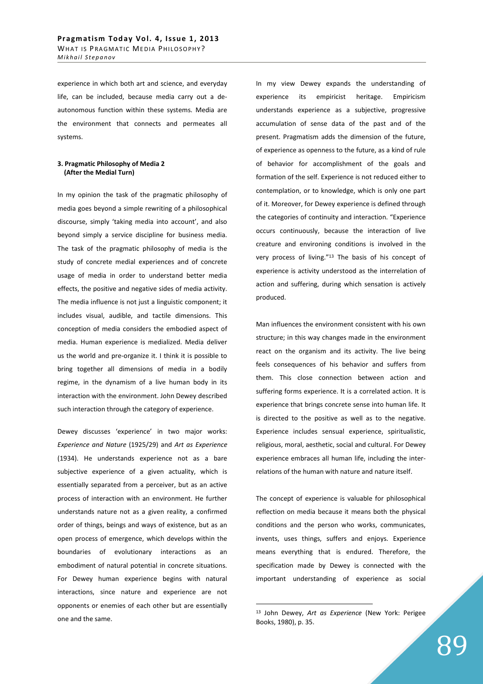experience in which both art and science, and everyday life, can be included, because media carry out a deautonomous function within these systems. Media are the environment that connects and permeates all systems.

## **3. Pragmatic Philosophy of Media 2 (After the Medial Turn)**

In my opinion the task of the pragmatic philosophy of media goes beyond a simple rewriting of a philosophical discourse, simply 'taking media into account', and also beyond simply a service discipline for business media. The task of the pragmatic philosophy of media is the study of concrete medial experiences and of concrete usage of media in order to understand better media effects, the positive and negative sides of media activity. The media influence is not just a linguistic component; it includes visual, audible, and tactile dimensions. This conception of media considers the embodied aspect of media. Human experience is medialized. Media deliver us the world and pre-organize it. I think it is possible to bring together all dimensions of media in a bodily regime, in the dynamism of a live human body in its interaction with the environment. John Dewey described such interaction through the category of experience.

Dewey discusses 'experience' in two major works: *Experience and Nature* (1925/29) and *Art as Experience* (1934). He understands experience not as a bare subjective experience of a given actuality, which is essentially separated from a perceiver, but as an active process of interaction with an environment. He further understands nature not as a given reality, a confirmed order of things, beings and ways of existence, but as an open process of emergence, which develops within the boundaries of evolutionary interactions as an embodiment of natural potential in concrete situations. For Dewey human experience begins with natural interactions, since nature and experience are not opponents or enemies of each other but are essentially one and the same.

In my view Dewey expands the understanding of experience its empiricist heritage. Empiricism understands experience as a subjective, progressive accumulation of sense data of the past and of the present. Pragmatism adds the dimension of the future, of experience as openness to the future, as a kind of rule of behavior for accomplishment of the goals and formation of the self. Experience is not reduced either to contemplation, or to knowledge, which is only one part of it. Moreover, for Dewey experience is defined through the categories of continuity and interaction. "Experience occurs continuously, because the interaction of live creature and environing conditions is involved in the very process of living."<sup>13</sup> The basis of his concept of experience is activity understood as the interrelation of action and suffering, during which sensation is actively produced.

Man influences the environment consistent with his own structure; in this way changes made in the environment react on the organism and its activity. The live being feels consequences of his behavior and suffers from them. This close connection between action and suffering forms experience. It is a correlated action. It is experience that brings concrete sense into human life. It is directed to the positive as well as to the negative. Experience includes sensual experience, spiritualistic, religious, moral, aesthetic, social and cultural. For Dewey experience embraces all human life, including the interrelations of the human with nature and nature itself.

The concept of experience is valuable for philosophical reflection on media because it means both the physical conditions and the person who works, communicates, invents, uses things, suffers and enjoys. Experience means everything that is endured. Therefore, the specification made by Dewey is connected with the important understanding of experience as social

<sup>13</sup> John Dewey, *Art as Experience* (New York: Perigee Books, 1980), p. 35.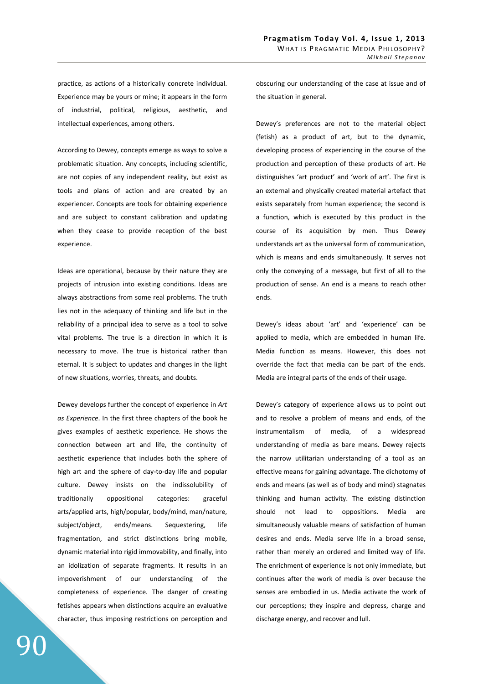practice, as actions of a historically concrete individual. Experience may be yours or mine; it appears in the form of industrial, political, religious, aesthetic, and intellectual experiences, among others.

According to Dewey, concepts emerge as ways to solve a problematic situation. Any concepts, including scientific, are not copies of any independent reality, but exist as tools and plans of action and are created by an experiencer. Concepts are tools for obtaining experience and are subject to constant calibration and updating when they cease to provide reception of the best experience.

Ideas are operational, because by their nature they are projects of intrusion into existing conditions. Ideas are always abstractions from some real problems. The truth lies not in the adequacy of thinking and life but in the reliability of a principal idea to serve as a tool to solve vital problems. The true is a direction in which it is necessary to move. The true is historical rather than eternal. It is subject to updates and changes in the light of new situations, worries, threats, and doubts.

Dewey develops further the concept of experience in *Art as Experience*. In the first three chapters of the book he gives examples of aesthetic experience. He shows the connection between art and life, the continuity of aesthetic experience that includes both the sphere of high art and the sphere of day-to-day life and popular culture. Dewey insists on the indissolubility of traditionally oppositional categories: graceful arts/applied arts, high/popular, body/mind, man/nature, subject/object, ends/means. Sequestering, life fragmentation, and strict distinctions bring mobile, dynamic material into rigid immovability, and finally, into an idolization of separate fragments. It results in an impoverishment of our understanding of the completeness of experience. The danger of creating fetishes appears when distinctions acquire an evaluative character, thus imposing restrictions on perception and obscuring our understanding of the case at issue and of the situation in general.

Dewey's preferences are not to the material object (fetish) as a product of art, but to the dynamic, developing process of experiencing in the course of the production and perception of these products of art. He distinguishes 'art product' and 'work of art'. The first is an external and physically created material artefact that exists separately from human experience; the second is a function, which is executed by this product in the course of its acquisition by men. Thus Dewey understands art as the universal form of communication, which is means and ends simultaneously. It serves not only the conveying of a message, but first of all to the production of sense. An end is a means to reach other ends.

Dewey's ideas about 'art' and 'experience' can be applied to media, which are embedded in human life. Media function as means. However, this does not override the fact that media can be part of the ends. Media are integral parts of the ends of their usage.

Dewey's category of experience allows us to point out and to resolve a problem of means and ends, of the instrumentalism of media, of a widespread understanding of media as bare means. Dewey rejects the narrow utilitarian understanding of a tool as an effective means for gaining advantage. The dichotomy of ends and means (as well as of body and mind) stagnates thinking and human activity. The existing distinction should not lead to oppositions. Media are simultaneously valuable means of satisfaction of human desires and ends. Media serve life in a broad sense, rather than merely an ordered and limited way of life. The enrichment of experience is not only immediate, but continues after the work of media is over because the senses are embodied in us. Media activate the work of our perceptions; they inspire and depress, charge and discharge energy, and recover and lull.

90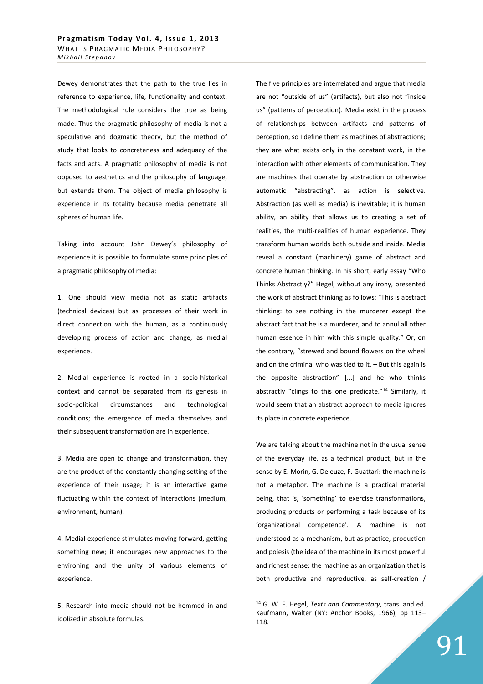Dewey demonstrates that the path to the true lies in reference to experience, life, functionality and context. The methodological rule considers the true as being made. Thus the pragmatic philosophy of media is not a speculative and dogmatic theory, but the method of study that looks to concreteness and adequacy of the facts and acts. A pragmatic philosophy of media is not opposed to aesthetics and the philosophy of language, but extends them. The object of media philosophy is experience in its totality because media penetrate all spheres of human life.

Taking into account John Dewey's philosophy of experience it is possible to formulate some principles of a pragmatic philosophy of media:

1. One should view media not as static artifacts (technical devices) but as processes of their work in direct connection with the human, as a continuously developing process of action and change, as medial experience.

2. Medial experience is rooted in a socio-historical context and cannot be separated from its genesis in socio-political circumstances and technological conditions; the emergence of media themselves and their subsequent transformation are in experience.

3. Media are open to change and transformation, they are the product of the constantly changing setting of the experience of their usage; it is an interactive game fluctuating within the context of interactions (medium, environment, human).

4. Medial experience stimulates moving forward, getting something new; it encourages new approaches to the environing and the unity of various elements of experience.

5. Research into media should not be hemmed in and idolized in absolute formulas.

The five principles are interrelated and argue that media are not "outside of us" (artifacts), but also not "inside us" (patterns of perception). Media exist in the process of relationships between artifacts and patterns of perception, so I define them as machines of abstractions; they are what exists only in the constant work, in the interaction with other elements of communication. They are machines that operate by abstraction or otherwise automatic "abstracting", as action is selective. Abstraction (as well as media) is inevitable; it is human ability, an ability that allows us to creating a set of realities, the multi-realities of human experience. They transform human worlds both outside and inside. Media reveal a constant (machinery) game of abstract and concrete human thinking. In his short, early essay "Who Thinks Abstractly?" Hegel, without any irony, presented the work of abstract thinking as follows: "This is abstract thinking: to see nothing in the murderer except the abstract fact that he is a murderer, and to annul all other human essence in him with this simple quality." Or, on the contrary, "strewed and bound flowers on the wheel and on the criminal who was tied to it. – But this again is the opposite abstraction" [...] and he who thinks abstractly "clings to this one predicate."<sup>14</sup> Similarly, it would seem that an abstract approach to media ignores its place in concrete experience.

We are talking about the machine not in the usual sense of the everyday life, as a technical product, but in the sense by E. Morin, G. Deleuze, F. Guattari: the machine is not a metaphor. The machine is a practical material being, that is, 'something' to exercise transformations, producing products or performing a task because of its 'organizational competence'. A machine is not understood as a mechanism, but as practice, production and poiesis (the idea of the machine in its most powerful and richest sense: the machine as an organization that is both productive and reproductive, as self-creation /

<sup>14</sup> G. W. F. Hegel, *Texts and Commentary*, trans. and ed. Kaufmann, Walter (NY: Anchor Books, 1966), pp 113– 118.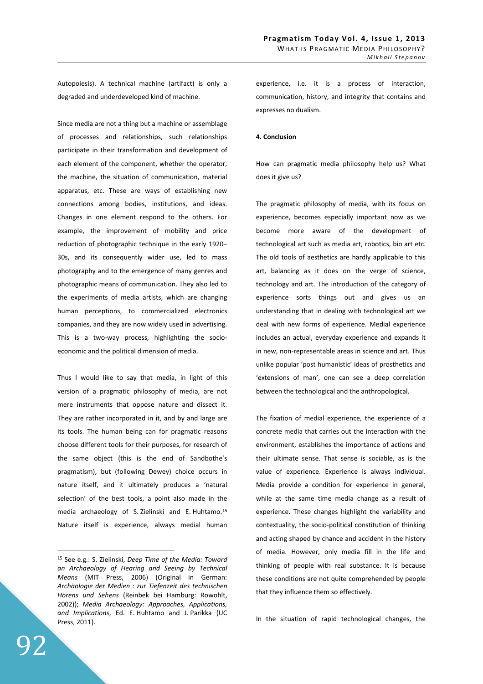Autopoiesis). A technical machine (artifact) is only a degraded and underdeveloped kind of machine.

Since media are not a thing but a machine or assemblage of processes and relationships, such relationships participate in their transformation and development of each element of the component, whether the operator, the machine, the situation of communication, material apparatus, etc. These are ways of establishing new connections among bodies, institutions, and ideas. Changes in one element respond to the others. For example, the improvement of mobility and price reduction of photographic technique in the early 1920– 30s, and its consequently wider use, led to mass photography and to the emergence of many genres and photographic means of communication. They also led to the experiments of media artists, which are changing human perceptions, to commercialized electronics companies, and they are now widely used in advertising. This is a two-way process, highlighting the socioeconomic and the political dimension of media.

Thus I would like to say that media, in light of this version of a pragmatic philosophy of media, are not mere instruments that oppose nature and dissect it. They are rather incorporated in it, and by and large are its tools. The human being can for pragmatic reasons choose different tools for their purposes, for research of the same object (this is the end of Sandbothe's pragmatism), but (following Dewey) choice occurs in nature itself, and it ultimately produces a 'natural selection' of the best tools, a point also made in the media archaeology of S. Zielinski and E. Huhtamo.<sup>15</sup> Nature itself is experience, always medial human

92

 $\overline{a}$ 

experience, i.e. it is a process of interaction, communication, history, and integrity that contains and expresses no dualism.

### **4. Conclusion**

How can pragmatic media philosophy help us? What does it give us?

The pragmatic philosophy of media, with its focus on experience, becomes especially important now as we become more aware of the development of technological art such as media art, robotics, bio art etc. The old tools of aesthetics are hardly applicable to this art, balancing as it does on the verge of science, technology and art. The introduction of the category of experience sorts things out and gives us an understanding that in dealing with technological art we deal with new forms of experience. Medial experience includes an actual, everyday experience and expands it in new, non-representable areas in science and art. Thus unlike popular 'post humanistic' ideas of prosthetics and 'extensions of man', one can see a deep correlation between the technological and the anthropological.

The fixation of medial experience, the experience of a concrete media that carries out the interaction with the environment, establishes the importance of actions and their ultimate sense. That sense is sociable, as is the value of experience. Experience is always individual. Media provide a condition for experience in general, while at the same time media change as a result of experience. These changes highlight the variability and contextuality, the socio-political constitution of thinking and acting shaped by chance and accident in the history of media. However, only media fill in the life and thinking of people with real substance. It is because these conditions are not quite comprehended by people that they influence them so effectively.

In the situation of rapid technological changes, the

<sup>15</sup> See e.g.: S. Zielinski, *Deep Time of the Media: Toward an Archaeology of Hearing and Seeing by Technical Means* (MIT Press, 2006) (Original in German: *Archäologie der Medien : zur Tiefenzeit des technischen Hörens und Sehens* (Reinbek bei Hamburg: Rowohlt, 2002)); *Media Archaeology: Approaches, Applications, and Implications*, Ed. E. Huhtamo and J. Parikka (UC Press, 2011).